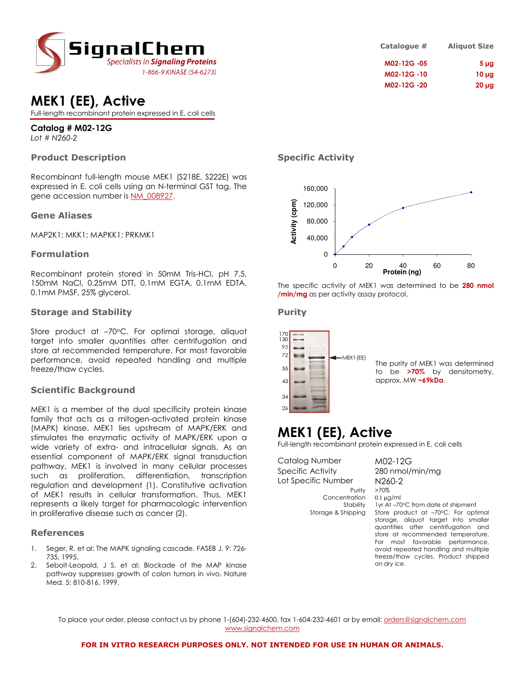

## MEK1 (EE), Active

Full-length recombinant protein expressed in E. coli cells

## Catalog # M02-12G

Lot # N260-2

## Product Description

Recombinant full-length mouse MEK1 (S218E, S222E) was expressed in E. coli cells using an N-terminal GST tag. The gene accession number is NM\_008927.

#### Gene Aliases

MAP2K1; MKK1; MAPKK1; PRKMK1

## Formulation

Recombinant protein stored in 50mM Tris-HCl, pH 7.5, 150mM NaCl, 0.25mM DTT, 0.1mM EGTA, 0.1mM EDTA, 0.1mM PMSF, 25% glycerol.

## Storage and Stability

Store product at -70°C. For optimal storage, aliquot target into smaller quantities after centrifugation and store at recommended temperature. For most favorable performance, avoid repeated handling and multiple freeze/thaw cycles.

## Scientific Background

MEK1 is a member of the dual specificity protein kinase family that acts as a mitogen-activated protein kinase (MAPK) kinase. MEK1 lies upstream of MAPK/ERK and stimulates the enzymatic activity of MAPK/ERK upon a wide variety of extra- and intracellular signals. As an essential component of MAPK/ERK signal transduction pathway, MEK1 is involved in many cellular processes such as proliferation, differentiation, transcription regulation and development (1). Constitutive activation of MEK1 results in cellular transformation. Thus, MEK1 represents a likely target for pharmacologic intervention in proliferative disease such as cancer (2).

## References

- 1. Seger, R. et al: The MAPK signaling cascade. FASEB J. 9: 726- 735, 1995.
- 2. Sebolt-Leopold, J S. et al: Blockade of the MAP kinase pathway suppresses growth of colon tumors in vivo. Nature Med. 5: 810-816, 1999.

| <b>Aliquot Size</b> | Catalogue # |
|---------------------|-------------|
| 5 <sub>µg</sub>     | M02-12G-05  |
| $10 \mu$ g          | M02-12G-10  |
| $20 \mu g$          | M02-12G-20  |

## Specific Activity



The specific activity of MEK1 was determined to be 280 nmol /min/mg as per activity assay protocol.

#### Purity



The purity of MEK1 was determined to be >70% by densitometry, approx. MW ~69kDa.

## MEK1 (EE), Active

Full-length recombinant protein expressed in E. coli cells

Catalog Number M02-12G Specific Activity 280 nmol/min/mg Lot Specific Number N260-2 Purity

Concentration 0.1 µg/ml

Stability 1yr At -70°C from date of shipment Storage & Shipping Store product at -70°C. For optimal storage, aliquot target into smaller quantities after centrifugation and store at recommended temperature. For most favorable performance, avoid repeated handling and multiple freeze/thaw cycles. Product shipped on dry ice.

To place your order, please contact us by phone 1-(604)-232-4600, fax 1-604-232-4601 or by email: <u>orders@signalchem.com</u> www.signalchem.com